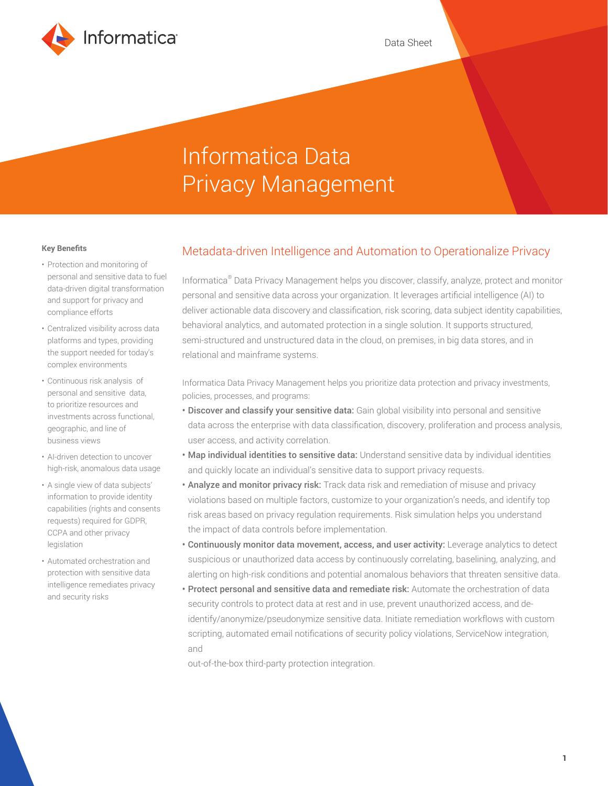

# Informatica Data Privacy Management

# **Key Benefits**

- Protection and monitoring of personal and sensitive data to fuel data-driven digital transformation and support for privacy and compliance efforts
- Centralized visibility across data platforms and types, providing the support needed for today's complex environments
- Continuous risk analysis of personal and sensitive data, to prioritize resources and investments across functional, geographic, and line of business views
- AI-driven detection to uncover high-risk, anomalous data usage
- A single view of data subjects' information to provide identity capabilities (rights and consents requests) required for GDPR, CCPA and other privacy legislation
- Automated orchestration and protection with sensitive data intelligence remediates privacy and security risks

# Metadata-driven Intelligence and Automation to Operationalize Privacy

Informatica® Data Privacy Management helps you discover, classify, analyze, protect and monitor personal and sensitive data across your organization. It leverages artificial intelligence (AI) to deliver actionable data discovery and classification, risk scoring, data subject identity capabilities, behavioral analytics, and automated protection in a single solution. It supports structured, semi-structured and unstructured data in the cloud, on premises, in big data stores, and in relational and mainframe systems.

Informatica Data Privacy Management helps you prioritize data protection and privacy investments, policies, processes, and programs:

- Discover and classify your sensitive data: Gain global visibility into personal and sensitive data across the enterprise with data classification, discovery, proliferation and process analysis, user access, and activity correlation.
- Map individual identities to sensitive data: Understand sensitive data by individual identities and quickly locate an individual's sensitive data to support privacy requests.
- Analyze and monitor privacy risk: Track data risk and remediation of misuse and privacy violations based on multiple factors, customize to your organization's needs, and identify top risk areas based on privacy regulation requirements. Risk simulation helps you understand the impact of data controls before implementation.
- Continuously monitor data movement, access, and user activity: Leverage analytics to detect suspicious or unauthorized data access by continuously correlating, baselining, analyzing, and alerting on high-risk conditions and potential anomalous behaviors that threaten sensitive data.
- Protect personal and sensitive data and remediate risk: Automate the orchestration of data security controls to protect data at rest and in use, prevent unauthorized access, and deidentify/anonymize/pseudonymize sensitive data. Initiate remediation workflows with custom scripting, automated email notifications of security policy violations, ServiceNow integration, and

out-of-the-box third-party protection integration.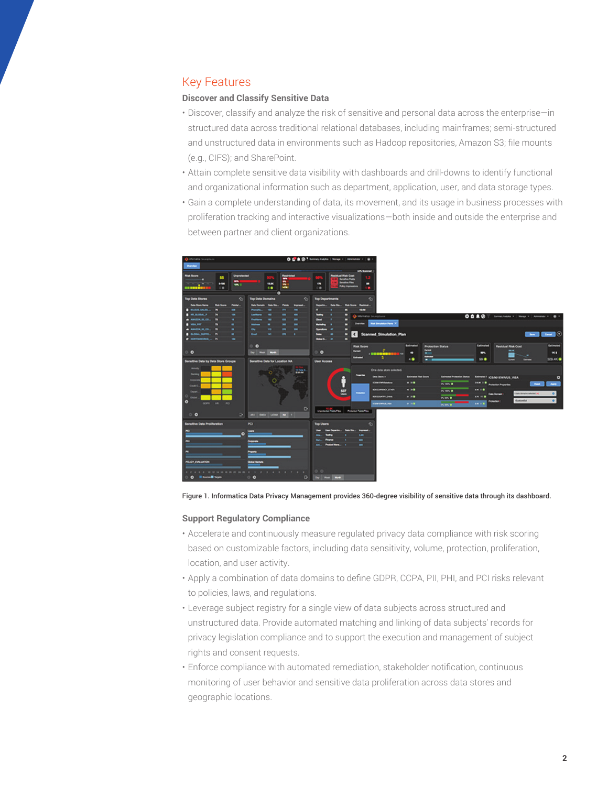# Key Features

# **Discover and Classify Sensitive Data**

- Discover, classify and analyze the risk of sensitive and personal data across the enterprise—in structured data across traditional relational databases, including mainframes; semi-structured and unstructured data in environments such as Hadoop repositories, Amazon S3; file mounts (e.g., CIFS); and SharePoint.
- Attain complete sensitive data visibility with dashboards and drill-downs to identify functional and organizational information such as department, application, user, and data storage types.
- Gain a complete understanding of data, its movement, and its usage in business processes with proliferation tracking and interactive visualizations—both inside and outside the enterprise and between partner and client organizations.



## Figure 1. Informatica Data Privacy Management provides 360-degree visibility of sensitive data through its dashboard.

### **Support Regulatory Compliance**

- Accelerate and continuously measure regulated privacy data compliance with risk scoring based on customizable factors, including data sensitivity, volume, protection, proliferation, location, and user activity.
- Apply a combination of data domains to define GDPR, CCPA, PII, PHI, and PCI risks relevant to policies, laws, and regulations.
- Leverage subject registry for a single view of data subjects across structured and unstructured data. Provide automated matching and linking of data subjects' records for privacy legislation compliance and to support the execution and management of subject rights and consent requests.
- Enforce compliance with automated remediation, stakeholder notification, continuous monitoring of user behavior and sensitive data proliferation across data stores and geographic locations.